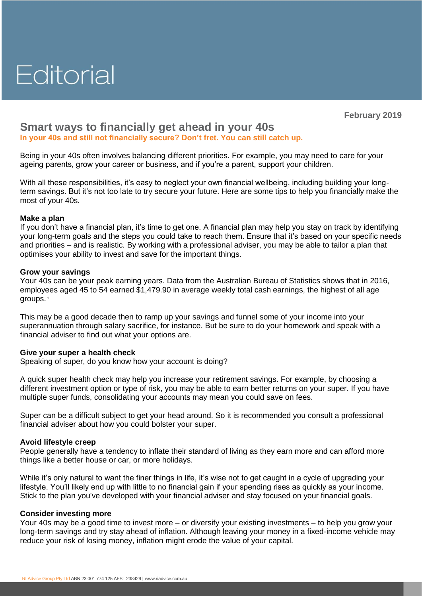# Editorial

**February 2019**

# **Smart ways to financially get ahead in your 40s**

**In your 40s and still not financially secure? Don't fret. You can still catch up.**

Being in your 40s often involves balancing different priorities. For example, you may need to care for your ageing parents, grow your career or business, and if you're a parent, support your children.

With all these responsibilities, it's easy to neglect your own financial wellbeing, including building your longterm savings. But it's not too late to try secure your future. Here are some tips to help you financially make the most of your 40s.

## **Make a plan**

If you don't have a financial plan, it's time to get one. A financial plan may help you stay on track by identifying your long-term goals and the steps you could take to reach them. Ensure that it's based on your specific needs and priorities – and is realistic. By working with a professional adviser, you may be able to tailor a plan that optimises your ability to invest and save for the important things.

#### **Grow your savings**

Your 40s can be your peak earning years. Data from the Australian Bureau of Statistics shows that in 2016, employees aged 45 to 54 earned \$1,479.90 in average weekly total cash earnings, the highest of all age groups. **<sup>1</sup>**

This may be a good decade then to ramp up your savings and funnel some of your income into your superannuation through salary sacrifice, for instance. But be sure to do your homework and speak with a financial adviser to find out what your options are.

## **Give your super a health check**

Speaking of super, do you know how your account is doing?

A quick super health check may help you increase your retirement savings. For example, by choosing a different investment option or type of risk, you may be able to earn better returns on your super. If you have multiple super funds, consolidating your accounts may mean you could save on fees.

Super can be a difficult subject to get your head around. So it is recommended you consult a professional financial adviser about how you could bolster your super.

## **Avoid lifestyle creep**

People generally have a tendency to inflate their standard of living as they earn more and can afford more things like a better house or car, or more holidays.

While it's only natural to want the finer things in life, it's wise not to get caught in a cycle of upgrading your lifestyle. You'll likely end up with little to no financial gain if your spending rises as quickly as your income. Stick to the plan you've developed with your financial adviser and stay focused on your financial goals.

#### **Consider investing more**

Your 40s may be a good time to invest more – or diversify your existing investments – to help you grow your long-term savings and try stay ahead of inflation. Although leaving your money in a fixed-income vehicle may reduce your risk of losing money, inflation might erode the value of your capital.